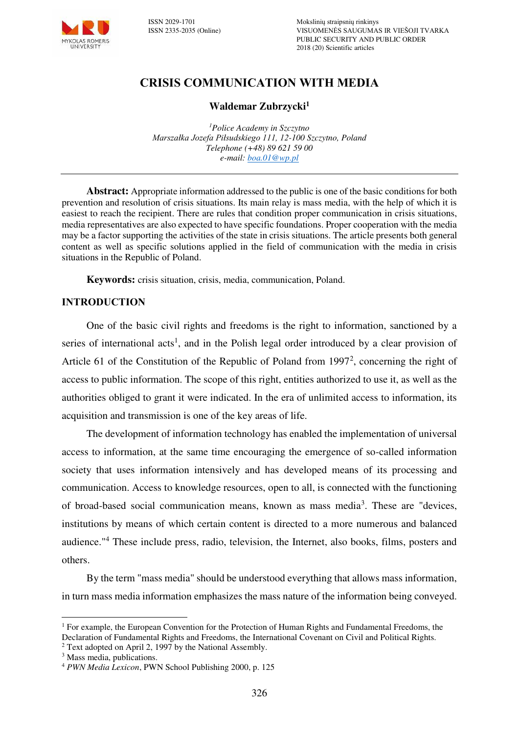

# **CRISIS COMMUNICATION WITH MEDIA**

#### **Waldemar Zubrzycki<sup>1</sup>**

*<sup>1</sup>Police Academy in Szczytno Marszałka Jozefa Piłsudskiego 111, 12-100 Szczytno, Poland Telephone (+48) 89 621 59 00 e-mail: [boa.01@wp.pl](mailto:boa.01@wp.pl)*

**Abstract:** Appropriate information addressed to the public is one of the basic conditions for both prevention and resolution of crisis situations. Its main relay is mass media, with the help of which it is easiest to reach the recipient. There are rules that condition proper communication in crisis situations, media representatives are also expected to have specific foundations. Proper cooperation with the media may be a factor supporting the activities of the state in crisis situations. The article presents both general content as well as specific solutions applied in the field of communication with the media in crisis situations in the Republic of Poland.

**Keywords:** crisis situation, crisis, media, communication, Poland.

#### **INTRODUCTION**

One of the basic civil rights and freedoms is the right to information, sanctioned by a series of international acts<sup>1</sup>, and in the Polish legal order introduced by a clear provision of Article 61 of the Constitution of the Republic of Poland from 1997<sup>2</sup>, concerning the right of access to public information. The scope of this right, entities authorized to use it, as well as the authorities obliged to grant it were indicated. In the era of unlimited access to information, its acquisition and transmission is one of the key areas of life.

The development of information technology has enabled the implementation of universal access to information, at the same time encouraging the emergence of so-called information society that uses information intensively and has developed means of its processing and communication. Access to knowledge resources, open to all, is connected with the functioning of broad-based social communication means, known as mass media<sup>3</sup>. These are "devices, institutions by means of which certain content is directed to a more numerous and balanced audience."<sup>4</sup> These include press, radio, television, the Internet, also books, films, posters and others.

By the term "mass media" should be understood everything that allows mass information, in turn mass media information emphasizes the mass nature of the information being conveyed.

 $\overline{a}$ <sup>1</sup> For example, the European Convention for the Protection of Human Rights and Fundamental Freedoms, the Declaration of Fundamental Rights and Freedoms, the International Covenant on Civil and Political Rights.

<sup>&</sup>lt;sup>2</sup> Text adopted on April 2, 1997 by the National Assembly.

<sup>3</sup> Mass media, publications.

<sup>4</sup>  *PWN Media Lexicon*, PWN School Publishing 2000, p. 125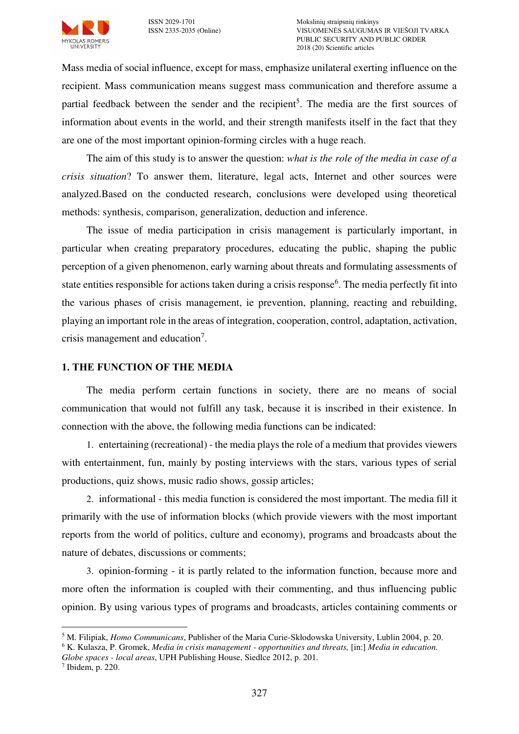

Mass media of social influence, except for mass, emphasize unilateral exerting influence on the recipient. Mass communication means suggest mass communication and therefore assume a partial feedback between the sender and the recipient<sup>5</sup>. The media are the first sources of information about events in the world, and their strength manifests itself in the fact that they are one of the most important opinion-forming circles with a huge reach.

The aim of this study is to answer the question: *what is the role of the media in case of a crisis situation*? To answer them, literature, legal acts, Internet and other sources were analyzed.Based on the conducted research, conclusions were developed using theoretical methods: synthesis, comparison, generalization, deduction and inference.

The issue of media participation in crisis management is particularly important, in particular when creating preparatory procedures, educating the public, shaping the public perception of a given phenomenon, early warning about threats and formulating assessments of state entities responsible for actions taken during a crisis response<sup>6</sup>. The media perfectly fit into the various phases of crisis management, ie prevention, planning, reacting and rebuilding, playing an important role in the areas of integration, cooperation, control, adaptation, activation, crisis management and education<sup>7</sup>.

## **1. THE FUNCTION OF THE MEDIA**

The media perform certain functions in society, there are no means of social communication that would not fulfill any task, because it is inscribed in their existence. In connection with the above, the following media functions can be indicated:

1. entertaining (recreational) - the media plays the role of a medium that provides viewers with entertainment, fun, mainly by posting interviews with the stars, various types of serial productions, quiz shows, music radio shows, gossip articles;

2. informational - this media function is considered the most important. The media fill it primarily with the use of information blocks (which provide viewers with the most important reports from the world of politics, culture and economy), programs and broadcasts about the nature of debates, discussions or comments;

3. opinion-forming - it is partly related to the information function, because more and more often the information is coupled with their commenting, and thus influencing public opinion. By using various types of programs and broadcasts, articles containing comments or

 $\overline{a}$ 5 M. Filipiak, *Homo Communicans*, Publisher of the Maria Curie-Skłodowska University, Lublin 2004, p. 20.

<sup>6</sup> K. Kulasza, P. Gromek, *Media in crisis management - opportunities and threats,* [in:] *Media in education.* 

*Globe spaces - local areas*, UPH Publishing House, Siedlce 2012, p. 201.

<sup>7</sup> Ibidem, p. 220.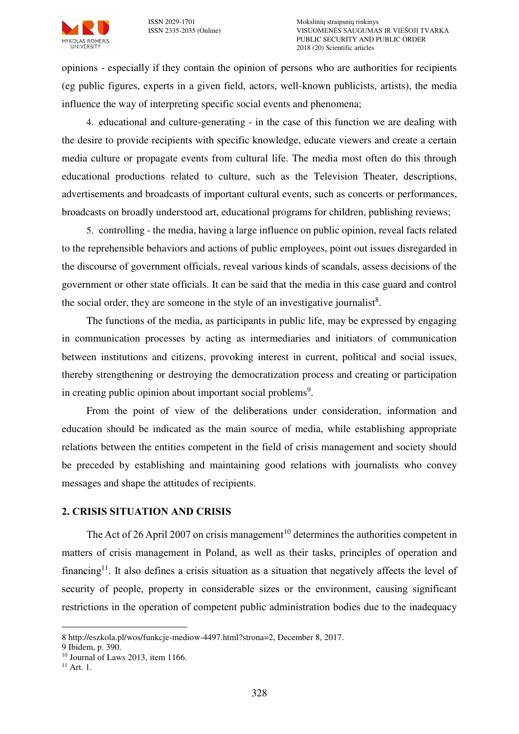

opinions - especially if they contain the opinion of persons who are authorities for recipients (eg public figures, experts in a given field, actors, well-known publicists, artists), the media influence the way of interpreting specific social events and phenomena;

4. educational and culture-generating - in the case of this function we are dealing with the desire to provide recipients with specific knowledge, educate viewers and create a certain media culture or propagate events from cultural life. The media most often do this through educational productions related to culture, such as the Television Theater, descriptions, advertisements and broadcasts of important cultural events, such as concerts or performances, broadcasts on broadly understood art, educational programs for children, publishing reviews;

5. controlling - the media, having a large influence on public opinion, reveal facts related to the reprehensible behaviors and actions of public employees, point out issues disregarded in the discourse of government officials, reveal various kinds of scandals, assess decisions of the government or other state officials. It can be said that the media in this case guard and control the social order, they are someone in the style of an investigative journalist<sup>8</sup>.

The functions of the media, as participants in public life, may be expressed by engaging in communication processes by acting as intermediaries and initiators of communication between institutions and citizens, provoking interest in current, political and social issues, thereby strengthening or destroying the democratization process and creating or participation in creating public opinion about important social problems<sup>9</sup>.

From the point of view of the deliberations under consideration, information and education should be indicated as the main source of media, while establishing appropriate relations between the entities competent in the field of crisis management and society should be preceded by establishing and maintaining good relations with journalists who convey messages and shape the attitudes of recipients.

#### **2. CRISIS SITUATION AND CRISIS**

The Act of 26 April 2007 on crisis management<sup>10</sup> determines the authorities competent in matters of crisis management in Poland, as well as their tasks, principles of operation and financing<sup>11</sup>. It also defines a crisis situation as a situation that negatively affects the level of security of people, property in considerable sizes or the environment, causing significant restrictions in the operation of competent public administration bodies due to the inadequacy

 $\overline{a}$ 8 http://eszkola.pl/wos/funkcje-mediow-4497.html?strona=2, December 8, 2017.

<sup>9</sup> Ibidem, p. 390.

 $10$  Journal of Laws 2013, item 1166.

 $11$  Art. 1.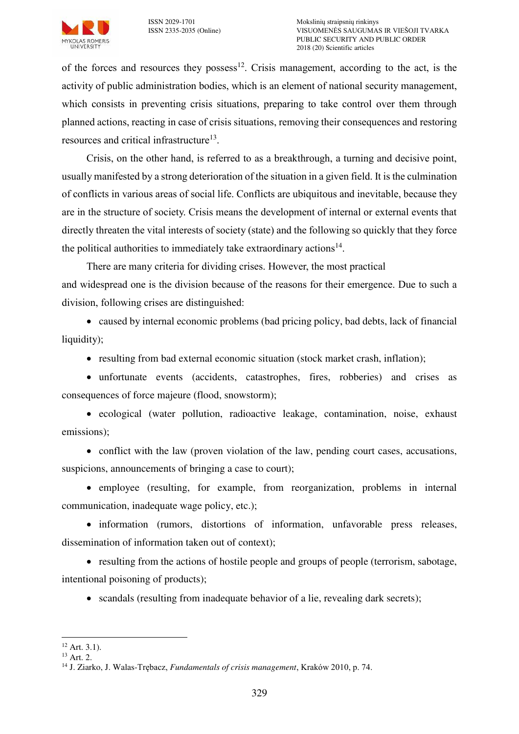

of the forces and resources they possess<sup>12</sup>. Crisis management, according to the act, is the activity of public administration bodies, which is an element of national security management, which consists in preventing crisis situations, preparing to take control over them through planned actions, reacting in case of crisis situations, removing their consequences and restoring resources and critical infrastructure<sup>13</sup>.

Crisis, on the other hand, is referred to as a breakthrough, a turning and decisive point, usually manifested by a strong deterioration of the situation in a given field. It is the culmination of conflicts in various areas of social life. Conflicts are ubiquitous and inevitable, because they are in the structure of society. Crisis means the development of internal or external events that directly threaten the vital interests of society (state) and the following so quickly that they force the political authorities to immediately take extraordinary actions<sup>14</sup>.

There are many criteria for dividing crises. However, the most practical and widespread one is the division because of the reasons for their emergence. Due to such a division, following crises are distinguished:

 caused by internal economic problems (bad pricing policy, bad debts, lack of financial liquidity);

• resulting from bad external economic situation (stock market crash, inflation);

 unfortunate events (accidents, catastrophes, fires, robberies) and crises as consequences of force majeure (flood, snowstorm);

 ecological (water pollution, radioactive leakage, contamination, noise, exhaust emissions);

• conflict with the law (proven violation of the law, pending court cases, accusations, suspicions, announcements of bringing a case to court);

 employee (resulting, for example, from reorganization, problems in internal communication, inadequate wage policy, etc.);

 information (rumors, distortions of information, unfavorable press releases, dissemination of information taken out of context);

• resulting from the actions of hostile people and groups of people (terrorism, sabotage, intentional poisoning of products);

• scandals (resulting from inadequate behavior of a lie, revealing dark secrets);

 $12$  Art. 3.1).

<sup>13</sup> Art. 2.

<sup>14</sup> J. Ziarko, J. Walas-Trębacz, *Fundamentals of crisis management*, Kraków 2010, p. 74.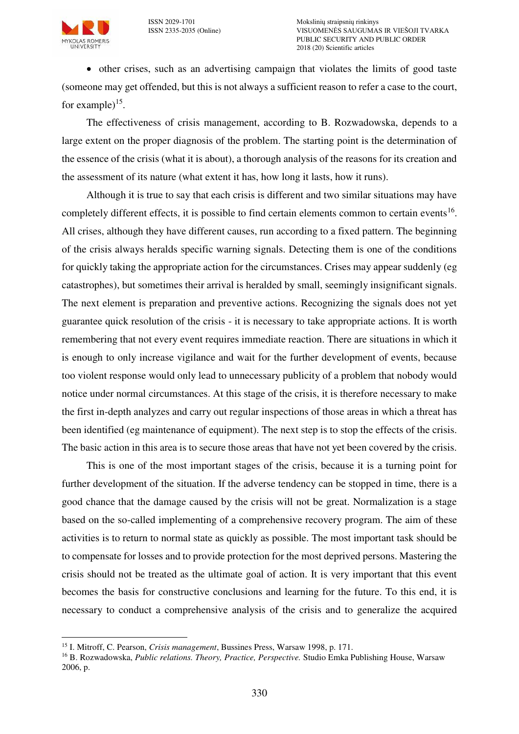**MYKOLAS ROMERIS** 



 other crises, such as an advertising campaign that violates the limits of good taste (someone may get offended, but this is not always a sufficient reason to refer a case to the court, for example) $^{15}$ .

The effectiveness of crisis management, according to B. Rozwadowska, depends to a large extent on the proper diagnosis of the problem. The starting point is the determination of the essence of the crisis (what it is about), a thorough analysis of the reasons for its creation and the assessment of its nature (what extent it has, how long it lasts, how it runs).

Although it is true to say that each crisis is different and two similar situations may have completely different effects, it is possible to find certain elements common to certain events<sup>16</sup>. All crises, although they have different causes, run according to a fixed pattern. The beginning of the crisis always heralds specific warning signals. Detecting them is one of the conditions for quickly taking the appropriate action for the circumstances. Crises may appear suddenly (eg catastrophes), but sometimes their arrival is heralded by small, seemingly insignificant signals. The next element is preparation and preventive actions. Recognizing the signals does not yet guarantee quick resolution of the crisis - it is necessary to take appropriate actions. It is worth remembering that not every event requires immediate reaction. There are situations in which it is enough to only increase vigilance and wait for the further development of events, because too violent response would only lead to unnecessary publicity of a problem that nobody would notice under normal circumstances. At this stage of the crisis, it is therefore necessary to make the first in-depth analyzes and carry out regular inspections of those areas in which a threat has been identified (eg maintenance of equipment). The next step is to stop the effects of the crisis. The basic action in this area is to secure those areas that have not yet been covered by the crisis.

This is one of the most important stages of the crisis, because it is a turning point for further development of the situation. If the adverse tendency can be stopped in time, there is a good chance that the damage caused by the crisis will not be great. Normalization is a stage based on the so-called implementing of a comprehensive recovery program. The aim of these activities is to return to normal state as quickly as possible. The most important task should be to compensate for losses and to provide protection for the most deprived persons. Mastering the crisis should not be treated as the ultimate goal of action. It is very important that this event becomes the basis for constructive conclusions and learning for the future. To this end, it is necessary to conduct a comprehensive analysis of the crisis and to generalize the acquired

 $\overline{a}$ <sup>15</sup> I. Mitroff, C. Pearson, *Crisis management*, Bussines Press, Warsaw 1998, p. 171.

<sup>16</sup> B. Rozwadowska, *Public relations. Theory, Practice, Perspective.* Studio Emka Publishing House, Warsaw 2006, p.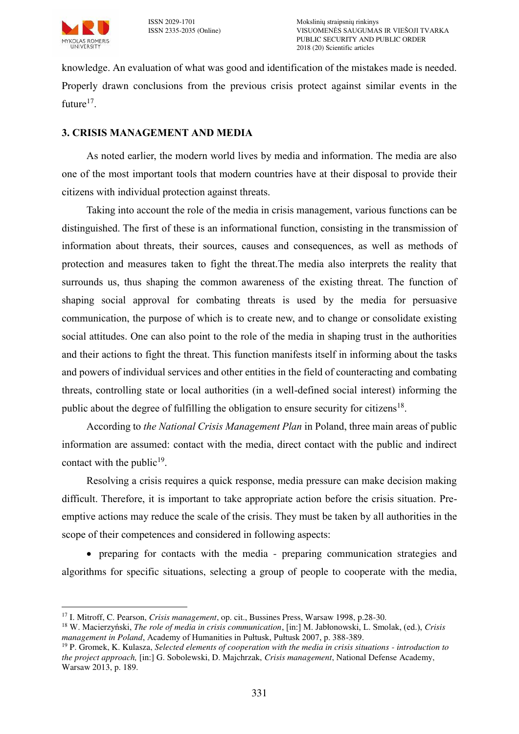

 $\overline{a}$ 

knowledge. An evaluation of what was good and identification of the mistakes made is needed. Properly drawn conclusions from the previous crisis protect against similar events in the future $17$ .

## **3. CRISIS MANAGEMENT AND MEDIA**

As noted earlier, the modern world lives by media and information. The media are also one of the most important tools that modern countries have at their disposal to provide their citizens with individual protection against threats.

Taking into account the role of the media in crisis management, various functions can be distinguished. The first of these is an informational function, consisting in the transmission of information about threats, their sources, causes and consequences, as well as methods of protection and measures taken to fight the threat.The media also interprets the reality that surrounds us, thus shaping the common awareness of the existing threat. The function of shaping social approval for combating threats is used by the media for persuasive communication, the purpose of which is to create new, and to change or consolidate existing social attitudes. One can also point to the role of the media in shaping trust in the authorities and their actions to fight the threat. This function manifests itself in informing about the tasks and powers of individual services and other entities in the field of counteracting and combating threats, controlling state or local authorities (in a well-defined social interest) informing the public about the degree of fulfilling the obligation to ensure security for citizens<sup>18</sup>.

According to *the National Crisis Management Plan* in Poland, three main areas of public information are assumed: contact with the media, direct contact with the public and indirect contact with the public<sup>19</sup>.

Resolving a crisis requires a quick response, media pressure can make decision making difficult. Therefore, it is important to take appropriate action before the crisis situation. Preemptive actions may reduce the scale of the crisis. They must be taken by all authorities in the scope of their competences and considered in following aspects:

 preparing for contacts with the media - preparing communication strategies and algorithms for specific situations, selecting a group of people to cooperate with the media,

<sup>17</sup> I. Mitroff, C. Pearson, *Crisis management*, op. cit., Bussines Press, Warsaw 1998, p.28-30.

<sup>18</sup> W. Macierzyński, *The role of media in crisis communication*, [in:] M. Jabłonowski, L. Smolak, (ed.), *Crisis management in Poland*, Academy of Humanities in Pułtusk, Pułtusk 2007, p. 388-389.

<sup>19</sup> P. Gromek, K. Kulasza, *Selected elements of cooperation with the media in crisis situations - introduction to the project approach,* [in:] G. Sobolewski, D. Majchrzak, *Crisis management*, National Defense Academy, Warsaw 2013, p. 189.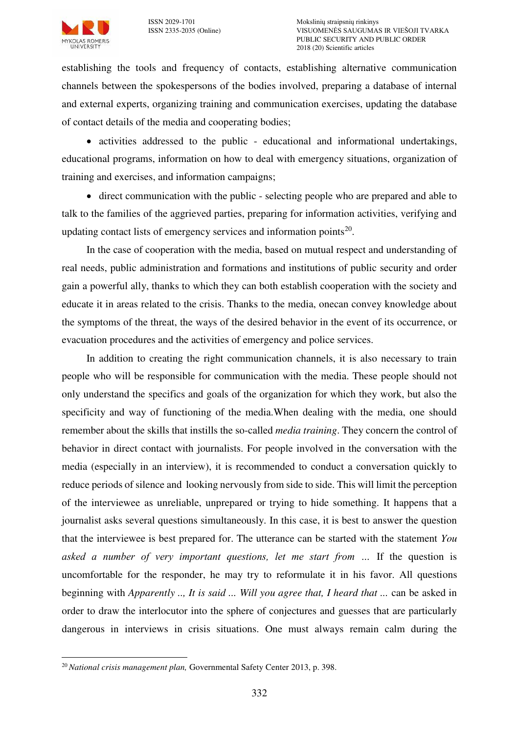

establishing the tools and frequency of contacts, establishing alternative communication channels between the spokespersons of the bodies involved, preparing a database of internal and external experts, organizing training and communication exercises, updating the database of contact details of the media and cooperating bodies;

 activities addressed to the public - educational and informational undertakings, educational programs, information on how to deal with emergency situations, organization of training and exercises, and information campaigns;

 direct communication with the public - selecting people who are prepared and able to talk to the families of the aggrieved parties, preparing for information activities, verifying and updating contact lists of emergency services and information points $20$ .

In the case of cooperation with the media, based on mutual respect and understanding of real needs, public administration and formations and institutions of public security and order gain a powerful ally, thanks to which they can both establish cooperation with the society and educate it in areas related to the crisis. Thanks to the media, onecan convey knowledge about the symptoms of the threat, the ways of the desired behavior in the event of its occurrence, or evacuation procedures and the activities of emergency and police services.

In addition to creating the right communication channels, it is also necessary to train people who will be responsible for communication with the media. These people should not only understand the specifics and goals of the organization for which they work, but also the specificity and way of functioning of the media.When dealing with the media, one should remember about the skills that instills the so-called *media training*. They concern the control of behavior in direct contact with journalists. For people involved in the conversation with the media (especially in an interview), it is recommended to conduct a conversation quickly to reduce periods of silence and looking nervously from side to side. This will limit the perception of the interviewee as unreliable, unprepared or trying to hide something. It happens that a journalist asks several questions simultaneously. In this case, it is best to answer the question that the interviewee is best prepared for. The utterance can be started with the statement *You asked a number of very important questions, let me start from …* If the question is uncomfortable for the responder, he may try to reformulate it in his favor. All questions beginning with *Apparently .., It is said ... Will you agree that, I heard that ...* can be asked in order to draw the interlocutor into the sphere of conjectures and guesses that are particularly dangerous in interviews in crisis situations. One must always remain calm during the

 $\overline{a}$ <sup>20</sup> *National crisis management plan,* Governmental Safety Center 2013, p. 398.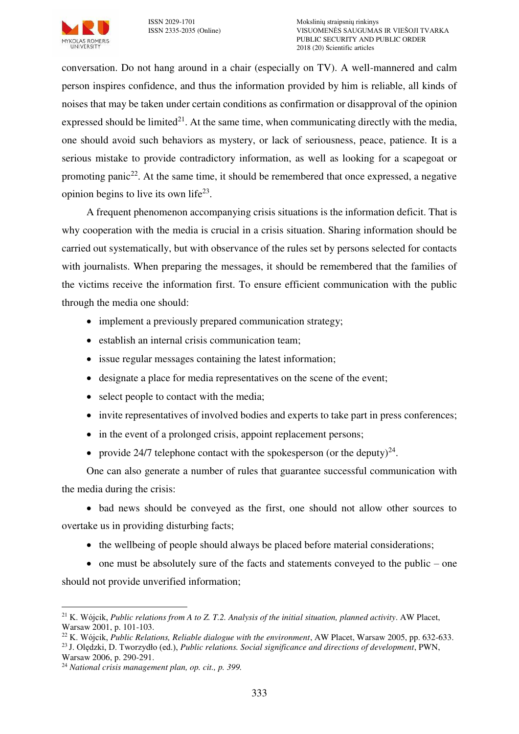

conversation. Do not hang around in a chair (especially on TV). A well-mannered and calm person inspires confidence, and thus the information provided by him is reliable, all kinds of noises that may be taken under certain conditions as confirmation or disapproval of the opinion expressed should be limited<sup>21</sup>. At the same time, when communicating directly with the media, one should avoid such behaviors as mystery, or lack of seriousness, peace, patience. It is a serious mistake to provide contradictory information, as well as looking for a scapegoat or promoting panic<sup>22</sup>. At the same time, it should be remembered that once expressed, a negative opinion begins to live its own life<sup>23</sup>.

A frequent phenomenon accompanying crisis situations is the information deficit. That is why cooperation with the media is crucial in a crisis situation. Sharing information should be carried out systematically, but with observance of the rules set by persons selected for contacts with journalists. When preparing the messages, it should be remembered that the families of the victims receive the information first. To ensure efficient communication with the public through the media one should:

- implement a previously prepared communication strategy;
- establish an internal crisis communication team;
- issue regular messages containing the latest information;
- designate a place for media representatives on the scene of the event;
- select people to contact with the media;
- invite representatives of involved bodies and experts to take part in press conferences;
- in the event of a prolonged crisis, appoint replacement persons;
- provide 24/7 telephone contact with the spokesperson (or the deputy)<sup>24</sup>.

One can also generate a number of rules that guarantee successful communication with the media during the crisis:

• bad news should be conveyed as the first, one should not allow other sources to overtake us in providing disturbing facts;

• the wellbeing of people should always be placed before material considerations;

 $\bullet$  one must be absolutely sure of the facts and statements conveyed to the public – one should not provide unverified information;

 $\overline{a}$ <sup>21</sup> K. Wójcik, *Public relations from A to Z. T.2. Analysis of the initial situation, planned activity*. AW Placet, Warsaw 2001, p. 101-103.

<sup>22</sup> K. Wójcik, *Public Relations, Reliable dialogue with the environment*, AW Placet, Warsaw 2005, pp. 632-633. <sup>23</sup>J. Olędzki, D. Tworzydło (ed.), *Public relations. Social significance and directions of development*, PWN,

Warsaw 2006, p. 290-291.

<sup>24</sup> *National crisis management plan, op. cit., p. 399.*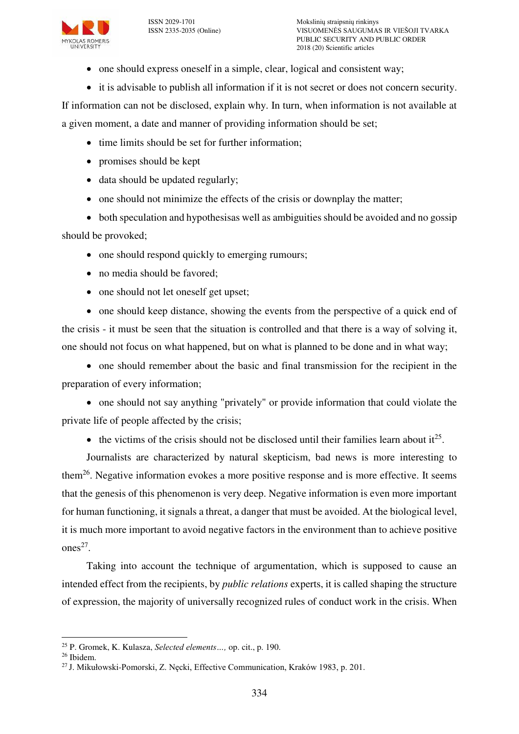

ISSN 2029-1701 Mokslinių straipsnių rinkinys VISUOMENĖS SAUGUMAS IR VIEŠOJI TVARKA PUBLIC SECURITY AND PUBLIC ORDER 2018 (20) Scientific articles

- one should express oneself in a simple, clear, logical and consistent way;
- it is advisable to publish all information if it is not secret or does not concern security.

If information can not be disclosed, explain why. In turn, when information is not available at a given moment, a date and manner of providing information should be set;

- time limits should be set for further information;
- promises should be kept
- data should be updated regularly;
- one should not minimize the effects of the crisis or downplay the matter;

 both speculation and hypothesisas well as ambiguities should be avoided and no gossip should be provoked;

- one should respond quickly to emerging rumours;
- no media should be favored:
- one should not let oneself get upset;

 one should keep distance, showing the events from the perspective of a quick end of the crisis - it must be seen that the situation is controlled and that there is a way of solving it, one should not focus on what happened, but on what is planned to be done and in what way;

• one should remember about the basic and final transmission for the recipient in the preparation of every information;

• one should not say anything "privately" or provide information that could violate the private life of people affected by the crisis;

 $\bullet$  the victims of the crisis should not be disclosed until their families learn about it<sup>25</sup>.

Journalists are characterized by natural skepticism, bad news is more interesting to them<sup>26</sup>. Negative information evokes a more positive response and is more effective. It seems that the genesis of this phenomenon is very deep. Negative information is even more important for human functioning, it signals a threat, a danger that must be avoided. At the biological level, it is much more important to avoid negative factors in the environment than to achieve positive ones<sup>27</sup>.

Taking into account the technique of argumentation, which is supposed to cause an intended effect from the recipients, by *public relations* experts, it is called shaping the structure of expression, the majority of universally recognized rules of conduct work in the crisis. When

 $\overline{a}$ <sup>25</sup> P. Gromek, K. Kulasza, *Selected elements…,* op. cit., p. 190.

<sup>26</sup> Ibidem.

<sup>27</sup> J. Mikułowski-Pomorski, Z. Nęcki, Effective Communication, Kraków 1983, p. 201.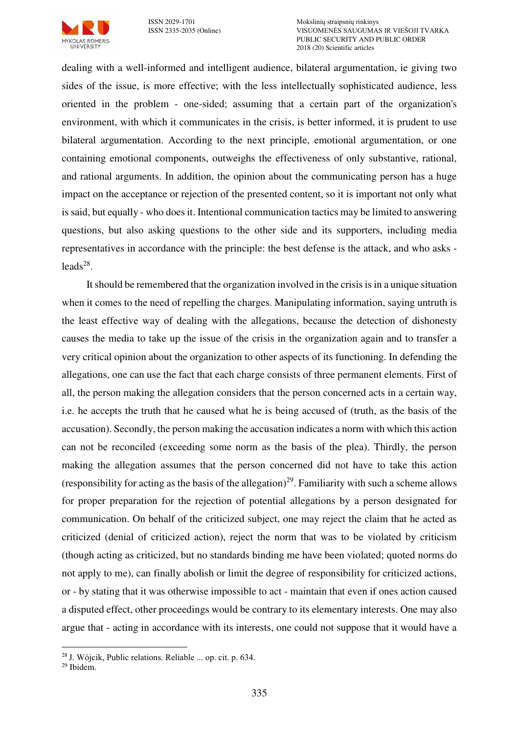

ISSN 2029-1701<br>
ISSN 2335-2035 (Online) MOKSLIOMENES SAUGUMA VISUOMENĖS SAUGUMAS IR VIEŠOJI TVARKA PUBLIC SECURITY AND PUBLIC ORDER 2018 (20) Scientific articles

dealing with a well-informed and intelligent audience, bilateral argumentation, ie giving two sides of the issue, is more effective; with the less intellectually sophisticated audience, less oriented in the problem - one-sided; assuming that a certain part of the organization's environment, with which it communicates in the crisis, is better informed, it is prudent to use bilateral argumentation. According to the next principle, emotional argumentation, or one containing emotional components, outweighs the effectiveness of only substantive, rational, and rational arguments. In addition, the opinion about the communicating person has a huge impact on the acceptance or rejection of the presented content, so it is important not only what is said, but equally - who does it. Intentional communication tactics may be limited to answering questions, but also asking questions to the other side and its supporters, including media representatives in accordance with the principle: the best defense is the attack, and who asks  $leads<sup>28</sup>$ .

It should be remembered that the organization involved in the crisis is in a unique situation when it comes to the need of repelling the charges. Manipulating information, saying untruth is the least effective way of dealing with the allegations, because the detection of dishonesty causes the media to take up the issue of the crisis in the organization again and to transfer a very critical opinion about the organization to other aspects of its functioning. In defending the allegations, one can use the fact that each charge consists of three permanent elements. First of all, the person making the allegation considers that the person concerned acts in a certain way, i.e. he accepts the truth that he caused what he is being accused of (truth, as the basis of the accusation). Secondly, the person making the accusation indicates a norm with which this action can not be reconciled (exceeding some norm as the basis of the plea). Thirdly, the person making the allegation assumes that the person concerned did not have to take this action (responsibility for acting as the basis of the allegation)<sup>29</sup>. Familiarity with such a scheme allows for proper preparation for the rejection of potential allegations by a person designated for communication. On behalf of the criticized subject, one may reject the claim that he acted as criticized (denial of criticized action), reject the norm that was to be violated by criticism (though acting as criticized, but no standards binding me have been violated; quoted norms do not apply to me), can finally abolish or limit the degree of responsibility for criticized actions, or - by stating that it was otherwise impossible to act - maintain that even if ones action caused a disputed effect, other proceedings would be contrary to its elementary interests. One may also argue that - acting in accordance with its interests, one could not suppose that it would have a

<sup>28</sup>J. Wójcik, Public relations. Reliable ... op. cit. p. 634.

 $29$  Ibidem.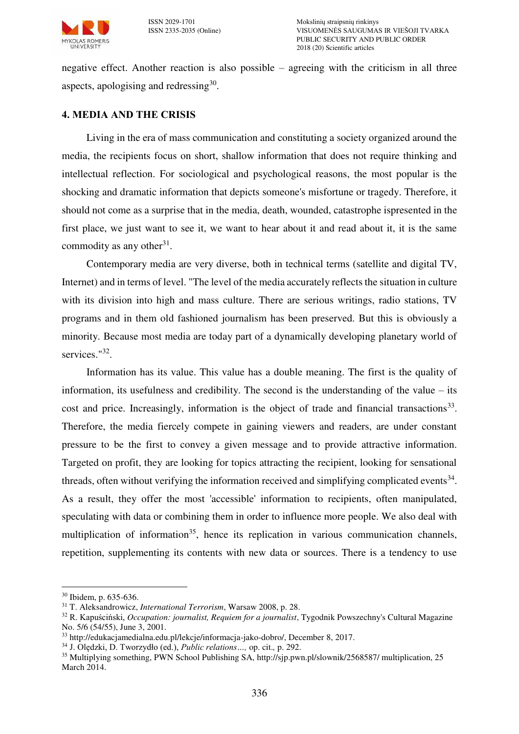

negative effect. Another reaction is also possible – agreeing with the criticism in all three aspects, apologising and redressing $30$ .

## **4. MEDIA AND THE CRISIS**

Living in the era of mass communication and constituting a society organized around the media, the recipients focus on short, shallow information that does not require thinking and intellectual reflection. For sociological and psychological reasons, the most popular is the shocking and dramatic information that depicts someone's misfortune or tragedy. Therefore, it should not come as a surprise that in the media, death, wounded, catastrophe ispresented in the first place, we just want to see it, we want to hear about it and read about it, it is the same commodity as any other<sup>31</sup>.

Contemporary media are very diverse, both in technical terms (satellite and digital TV, Internet) and in terms of level. "The level of the media accurately reflects the situation in culture with its division into high and mass culture. There are serious writings, radio stations, TV programs and in them old fashioned journalism has been preserved. But this is obviously a minority. Because most media are today part of a dynamically developing planetary world of services."<sup>32</sup>.

Information has its value. This value has a double meaning. The first is the quality of information, its usefulness and credibility. The second is the understanding of the value – its cost and price. Increasingly, information is the object of trade and financial transactions<sup>33</sup>. Therefore, the media fiercely compete in gaining viewers and readers, are under constant pressure to be the first to convey a given message and to provide attractive information. Targeted on profit, they are looking for topics attracting the recipient, looking for sensational threads, often without verifying the information received and simplifying complicated events<sup>34</sup>. As a result, they offer the most 'accessible' information to recipients, often manipulated, speculating with data or combining them in order to influence more people. We also deal with multiplication of information<sup>35</sup>, hence its replication in various communication channels, repetition, supplementing its contents with new data or sources. There is a tendency to use

<sup>30</sup> Ibidem, p. 635-636.

<sup>31</sup> T. Aleksandrowicz, *International Terrorism*, Warsaw 2008, p. 28.

<sup>32</sup> R. Kapuściński, *Occupation: journalist, Requiem for a journalist*, Tygodnik Powszechny's Cultural Magazine No. 5/6 (54/55), June 3, 2001.

<sup>&</sup>lt;sup>33</sup> http://edukaciamedialna.edu.pl/lekcje/informacia-jako-dobro/, December 8, 2017.

<sup>34</sup> J. Olędzki, D. Tworzydło (ed.), *Public relations…,* op. cit.*,* p. 292.

<sup>&</sup>lt;sup>35</sup> Multiplying something, PWN School Publishing SA, http://sjp.pwn.pl/slownik/2568587/ multiplication, 25 March 2014.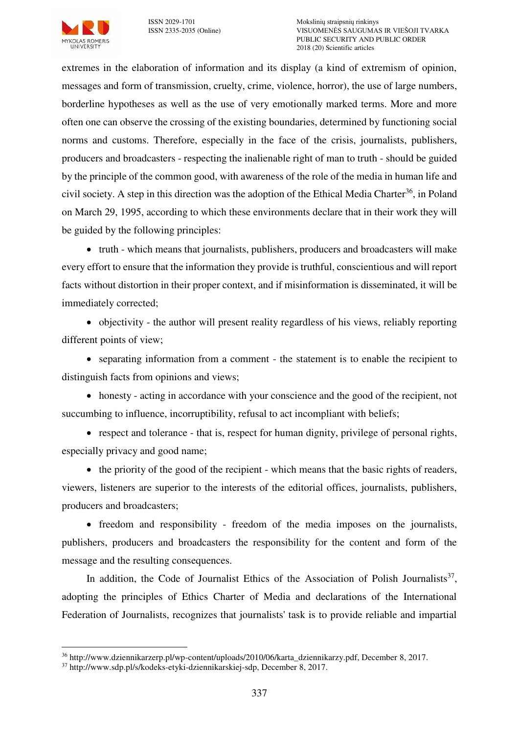extremes in the elaboration of information and its display (a kind of extremism of opinion, messages and form of transmission, cruelty, crime, violence, horror), the use of large numbers, borderline hypotheses as well as the use of very emotionally marked terms. More and more often one can observe the crossing of the existing boundaries, determined by functioning social norms and customs. Therefore, especially in the face of the crisis, journalists, publishers, producers and broadcasters - respecting the inalienable right of man to truth - should be guided by the principle of the common good, with awareness of the role of the media in human life and civil society. A step in this direction was the adoption of the Ethical Media Charter<sup>36</sup>, in Poland on March 29, 1995, according to which these environments declare that in their work they will be guided by the following principles:

• truth - which means that journalists, publishers, producers and broadcasters will make every effort to ensure that the information they provide is truthful, conscientious and will report facts without distortion in their proper context, and if misinformation is disseminated, it will be immediately corrected;

• objectivity - the author will present reality regardless of his views, reliably reporting different points of view;

• separating information from a comment - the statement is to enable the recipient to distinguish facts from opinions and views;

 honesty - acting in accordance with your conscience and the good of the recipient, not succumbing to influence, incorruptibility, refusal to act incompliant with beliefs;

• respect and tolerance - that is, respect for human dignity, privilege of personal rights, especially privacy and good name;

 $\bullet$  the priority of the good of the recipient - which means that the basic rights of readers, viewers, listeners are superior to the interests of the editorial offices, journalists, publishers, producers and broadcasters;

• freedom and responsibility - freedom of the media imposes on the journalists, publishers, producers and broadcasters the responsibility for the content and form of the message and the resulting consequences.

In addition, the Code of Journalist Ethics of the Association of Polish Journalists<sup>37</sup>, adopting the principles of Ethics Charter of Media and declarations of the International Federation of Journalists, recognizes that journalists' task is to provide reliable and impartial

<sup>36</sup> http://www.dziennikarzerp.pl/wp-content/uploads/2010/06/karta\_dziennikarzy.pdf, December 8, 2017.

<sup>37</sup> http://www.sdp.pl/s/kodeks-etyki-dziennikarskiej-sdp, December 8, 2017.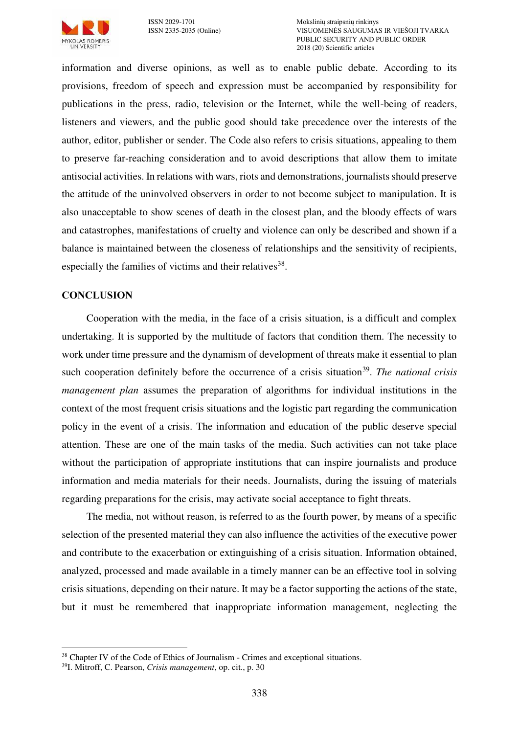

information and diverse opinions, as well as to enable public debate. According to its provisions, freedom of speech and expression must be accompanied by responsibility for publications in the press, radio, television or the Internet, while the well-being of readers, listeners and viewers, and the public good should take precedence over the interests of the author, editor, publisher or sender. The Code also refers to crisis situations, appealing to them to preserve far-reaching consideration and to avoid descriptions that allow them to imitate antisocial activities. In relations with wars, riots and demonstrations, journalists should preserve the attitude of the uninvolved observers in order to not become subject to manipulation. It is also unacceptable to show scenes of death in the closest plan, and the bloody effects of wars and catastrophes, manifestations of cruelty and violence can only be described and shown if a balance is maintained between the closeness of relationships and the sensitivity of recipients, especially the families of victims and their relatives<sup>38</sup>.

### **CONCLUSION**

Cooperation with the media, in the face of a crisis situation, is a difficult and complex undertaking. It is supported by the multitude of factors that condition them. The necessity to work under time pressure and the dynamism of development of threats make it essential to plan such cooperation definitely before the occurrence of a crisis situation<sup>39</sup>. The national crisis *management plan* assumes the preparation of algorithms for individual institutions in the context of the most frequent crisis situations and the logistic part regarding the communication policy in the event of a crisis. The information and education of the public deserve special attention. These are one of the main tasks of the media. Such activities can not take place without the participation of appropriate institutions that can inspire journalists and produce information and media materials for their needs. Journalists, during the issuing of materials regarding preparations for the crisis, may activate social acceptance to fight threats.

The media, not without reason, is referred to as the fourth power, by means of a specific selection of the presented material they can also influence the activities of the executive power and contribute to the exacerbation or extinguishing of a crisis situation. Information obtained, analyzed, processed and made available in a timely manner can be an effective tool in solving crisis situations, depending on their nature. It may be a factor supporting the actions of the state, but it must be remembered that inappropriate information management, neglecting the

<sup>&</sup>lt;sup>38</sup> Chapter IV of the Code of Ethics of Journalism - Crimes and exceptional situations.

<sup>39</sup>I. Mitroff, C. Pearson, *Crisis management*, op. cit., p. 30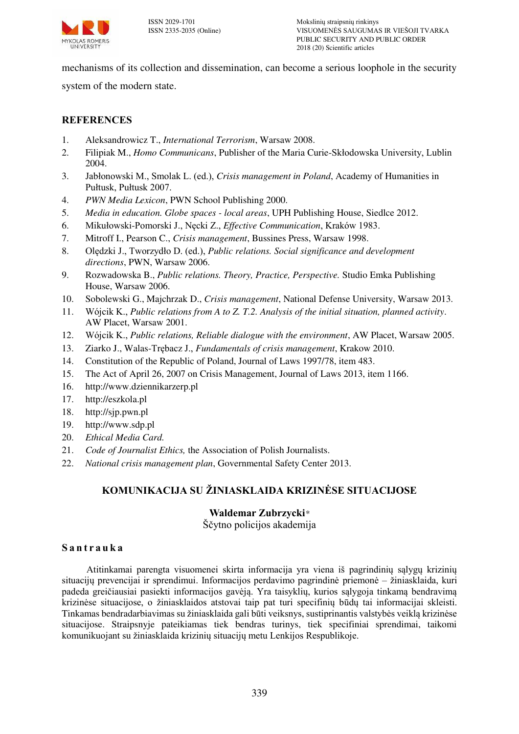

mechanisms of its collection and dissemination, can become a serious loophole in the security

system of the modern state.

### **REFERENCES**

- 1. Aleksandrowicz T., *International Terrorism*, Warsaw 2008.
- 2. Filipiak M., *Homo Communicans*, Publisher of the Maria Curie-Skłodowska University, Lublin 2004.
- 3. Jabłonowski M., Smolak L. (ed.), *Crisis management in Poland*, Academy of Humanities in Pułtusk, Pułtusk 2007.
- 4. *PWN Media Lexicon*, PWN School Publishing 2000.
- 5. *Media in education. Globe spaces local areas*, UPH Publishing House, Siedlce 2012.
- 6. Mikułowski-Pomorski J., Nęcki Z., *Effective Communication*, Kraków 1983.
- 7. Mitroff I., Pearson C., *Crisis management*, Bussines Press, Warsaw 1998.
- 8. Olędzki J., Tworzydło D. (ed.), *Public relations. Social significance and development directions*, PWN, Warsaw 2006.
- 9. Rozwadowska B., *Public relations. Theory, Practice, Perspective.* Studio Emka Publishing House, Warsaw 2006.
- 10. Sobolewski G., Majchrzak D., *Crisis management*, National Defense University, Warsaw 2013.
- 11. Wójcik K., *Public relations from A to Z. T.2. Analysis of the initial situation, planned activity*. AW Placet, Warsaw 2001.
- 12. Wójcik K., *Public relations, Reliable dialogue with the environment*, AW Placet, Warsaw 2005.
- 13. Ziarko J., Walas-Trębacz J., *Fundamentals of crisis management*, Krakow 2010.
- 14. Constitution of the Republic of Poland, Journal of Laws 1997/78, item 483.
- 15. The Act of April 26, 2007 on Crisis Management, Journal of Laws 2013, item 1166.
- 16. http://www.dziennikarzerp.pl
- 17. http://eszkola.pl
- 18. http://sjp.pwn.pl
- 19. http://www.sdp.pl
- 20. *Ethical Media Card.*
- 21. *Code of Journalist Ethics,* the Association of Polish Journalists.
- 22. *National crisis management plan*, Governmental Safety Center 2013.

## **KOMUNIKACIJA SU ŽINIASKLAIDA KRIZINĖSE SITUACIJOSE**

#### **Waldemar Zubrzycki***\**

Ščytno policijos akademija

#### **S a n t r a u k a**

Atitinkamai parengta visuomenei skirta informacija yra viena iš pagrindinių sąlygų krizinių situacijų prevencijai ir sprendimui. Informacijos perdavimo pagrindinė priemonė – žiniasklaida, kuri padeda greičiausiai pasiekti informacijos gavėją. Yra taisyklių, kurios sąlygoja tinkamą bendravimą krizinėse situacijose, o žiniasklaidos atstovai taip pat turi specifinių būdų tai informacijai skleisti. Tinkamas bendradarbiavimas su žiniasklaida gali būti veiksnys, sustiprinantis valstybės veiklą krizinėse situacijose. Straipsnyje pateikiamas tiek bendras turinys, tiek specifiniai sprendimai, taikomi komunikuojant su žiniasklaida krizinių situacijų metu Lenkijos Respublikoje.